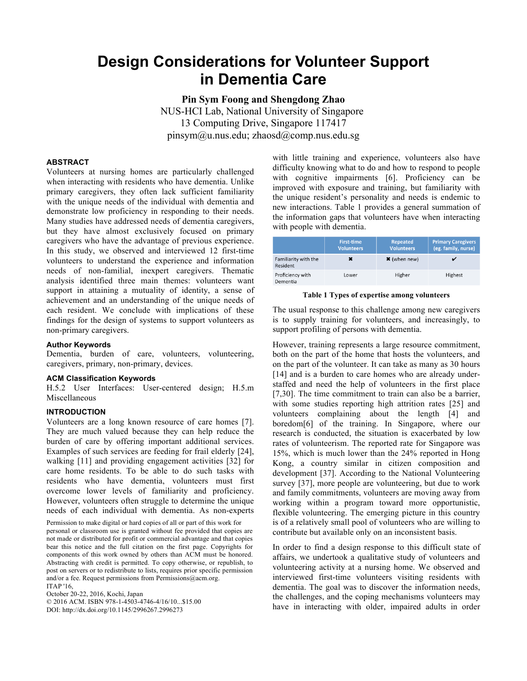# **Design Considerations for Volunteer Support in Dementia Care**

**Pin Sym Foong and Shengdong Zhao** NUS-HCI Lab, National University of Singapore 13 Computing Drive, Singapore 117417 pinsym@u.nus.edu; zhaosd@comp.nus.edu.sg

## **ABSTRACT**

Volunteers at nursing homes are particularly challenged when interacting with residents who have dementia. Unlike primary caregivers, they often lack sufficient familiarity with the unique needs of the individual with dementia and demonstrate low proficiency in responding to their needs. Many studies have addressed needs of dementia caregivers, but they have almost exclusively focused on primary caregivers who have the advantage of previous experience. In this study, we observed and interviewed 12 first-time volunteers to understand the experience and information needs of non-familial, inexpert caregivers. Thematic analysis identified three main themes: volunteers want support in attaining a mutuality of identity, a sense of achievement and an understanding of the unique needs of each resident. We conclude with implications of these findings for the design of systems to support volunteers as non-primary caregivers.

#### **Author Keywords**

Dementia, burden of care, volunteers, volunteering, caregivers, primary, non-primary, devices.

#### **ACM Classification Keywords**

H.5.2 User Interfaces: User-centered design; H.5.m Miscellaneous

# **INTRODUCTION**

Volunteers are a long known resource of care homes [7]. They are much valued because they can help reduce the burden of care by offering important additional services. Examples of such services are feeding for frail elderly [24], walking [11] and providing engagement activities [32] for care home residents. To be able to do such tasks with residents who have dementia, volunteers must first overcome lower levels of familiarity and proficiency. However, volunteers often struggle to determine the unique needs of each individual with dementia. As non-experts

Permission to make digital or hard copies of all or part of this work for personal or classroom use is granted without fee provided that copies are not made or distributed for profit or commercial advantage and that copies bear this notice and the full citation on the first page. Copyrights for components of this work owned by others than ACM must be honored. Abstracting with credit is permitted. To copy otherwise, or republish, to post on servers or to redistribute to lists, requires prior specific permission and/or a fee. Request permissions from Permissions@acm.org. ITAP '16,

October 20-22, 2016, Kochi, Japan

© 2016 ACM. ISBN 978-1-4503-4746-4/16/10...\$15.00 DOI: http://dx.doi.org/10.1145/2996267.2996273

with little training and experience, volunteers also have difficulty knowing what to do and how to respond to people with cognitive impairments [6]. Proficiency can be improved with exposure and training, but familiarity with the unique resident's personality and needs is endemic to new interactions. Table 1 provides a general summation of the information gaps that volunteers have when interacting with people with dementia.

|                                  | <b>First-time</b><br><b>Volunteers</b> | Repeated<br><b>Volunteers</b> | <b>Primary Caregivers</b><br>(eg. family, nurse) |
|----------------------------------|----------------------------------------|-------------------------------|--------------------------------------------------|
| Familiarity with the<br>Resident |                                        | <b>*</b> (when new)           |                                                  |
| Proficiency with<br>Dementia     | Lower                                  | Higher                        | Highest                                          |

#### **Table 1 Types of expertise among volunteers**

The usual response to this challenge among new caregivers is to supply training for volunteers, and increasingly, to support profiling of persons with dementia.

However, training represents a large resource commitment, both on the part of the home that hosts the volunteers, and on the part of the volunteer. It can take as many as 30 hours [14] and is a burden to care homes who are already understaffed and need the help of volunteers in the first place [7,30]. The time commitment to train can also be a barrier, with some studies reporting high attrition rates [25] and volunteers complaining about the length [4] and boredom[6] of the training. In Singapore, where our research is conducted, the situation is exacerbated by low rates of volunteerism. The reported rate for Singapore was 15%, which is much lower than the 24% reported in Hong Kong, a country similar in citizen composition and development [37]. According to the National Volunteering survey [37], more people are volunteering, but due to work and family commitments, volunteers are moving away from working within a program toward more opportunistic, flexible volunteering. The emerging picture in this country is of a relatively small pool of volunteers who are willing to contribute but available only on an inconsistent basis.

In order to find a design response to this difficult state of affairs, we undertook a qualitative study of volunteers and volunteering activity at a nursing home. We observed and interviewed first-time volunteers visiting residents with dementia. The goal was to discover the information needs, the challenges, and the coping mechanisms volunteers may have in interacting with older, impaired adults in order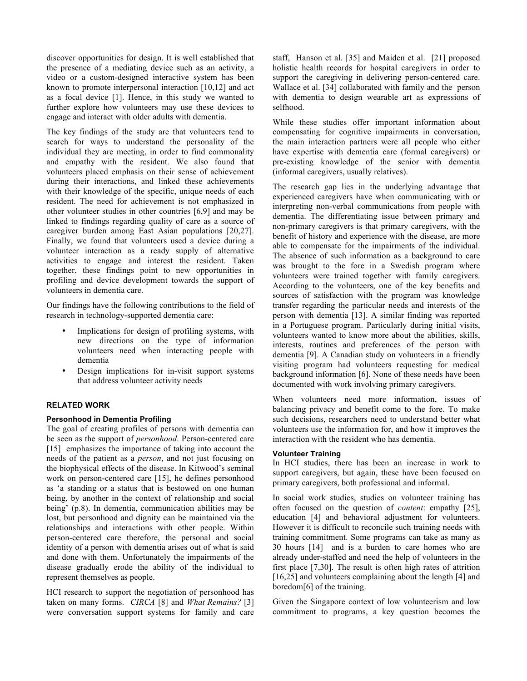discover opportunities for design. It is well established that the presence of a mediating device such as an activity, a video or a custom-designed interactive system has been known to promote interpersonal interaction [10,12] and act as a focal device [1]. Hence, in this study we wanted to further explore how volunteers may use these devices to engage and interact with older adults with dementia.

The key findings of the study are that volunteers tend to search for ways to understand the personality of the individual they are meeting, in order to find commonality and empathy with the resident. We also found that volunteers placed emphasis on their sense of achievement during their interactions, and linked these achievements with their knowledge of the specific, unique needs of each resident. The need for achievement is not emphasized in other volunteer studies in other countries [6,9] and may be linked to findings regarding quality of care as a source of caregiver burden among East Asian populations [20,27]. Finally, we found that volunteers used a device during a volunteer interaction as a ready supply of alternative activities to engage and interest the resident. Taken together, these findings point to new opportunities in profiling and device development towards the support of volunteers in dementia care.

Our findings have the following contributions to the field of research in technology-supported dementia care:

- Implications for design of profiling systems, with new directions on the type of information volunteers need when interacting people with dementia
- Design implications for in-visit support systems that address volunteer activity needs

# **RELATED WORK**

# **Personhood in Dementia Profiling**

The goal of creating profiles of persons with dementia can be seen as the support of *personhood*. Person-centered care [15] emphasizes the importance of taking into account the needs of the patient as a *person*, and not just focusing on the biophysical effects of the disease. In Kitwood's seminal work on person-centered care [15], he defines personhood as 'a standing or a status that is bestowed on one human being, by another in the context of relationship and social being' (p.8). In dementia, communication abilities may be lost, but personhood and dignity can be maintained via the relationships and interactions with other people. Within person-centered care therefore, the personal and social identity of a person with dementia arises out of what is said and done with them. Unfortunately the impairments of the disease gradually erode the ability of the individual to represent themselves as people.

HCI research to support the negotiation of personhood has taken on many forms. *CIRCA* [8] and *What Remains?* [3] were conversation support systems for family and care

staff, Hanson et al. [35] and Maiden et al. [21] proposed holistic health records for hospital caregivers in order to support the caregiving in delivering person-centered care. Wallace et al. [34] collaborated with family and the person with dementia to design wearable art as expressions of selfhood.

While these studies offer important information about compensating for cognitive impairments in conversation, the main interaction partners were all people who either have expertise with dementia care (formal caregivers) or pre-existing knowledge of the senior with dementia (informal caregivers, usually relatives).

The research gap lies in the underlying advantage that experienced caregivers have when communicating with or interpreting non-verbal communications from people with dementia. The differentiating issue between primary and non-primary caregivers is that primary caregivers, with the benefit of history and experience with the disease, are more able to compensate for the impairments of the individual. The absence of such information as a background to care was brought to the fore in a Swedish program where volunteers were trained together with family caregivers. According to the volunteers, one of the key benefits and sources of satisfaction with the program was knowledge transfer regarding the particular needs and interests of the person with dementia [13]. A similar finding was reported in a Portuguese program. Particularly during initial visits, volunteers wanted to know more about the abilities, skills, interests, routines and preferences of the person with dementia [9]. A Canadian study on volunteers in a friendly visiting program had volunteers requesting for medical background information [6]. None of these needs have been documented with work involving primary caregivers.

When volunteers need more information, issues of balancing privacy and benefit come to the fore. To make such decisions, researchers need to understand better what volunteers use the information for, and how it improves the interaction with the resident who has dementia.

# **Volunteer Training**

In HCI studies, there has been an increase in work to support caregivers, but again, these have been focused on primary caregivers, both professional and informal.

In social work studies, studies on volunteer training has often focused on the question of *content*: empathy [25], education [4] and behavioral adjustment for volunteers. However it is difficult to reconcile such training needs with training commitment. Some programs can take as many as 30 hours [14] and is a burden to care homes who are already under-staffed and need the help of volunteers in the first place [7,30]. The result is often high rates of attrition [16,25] and volunteers complaining about the length [4] and boredom[6] of the training.

Given the Singapore context of low volunteerism and low commitment to programs, a key question becomes the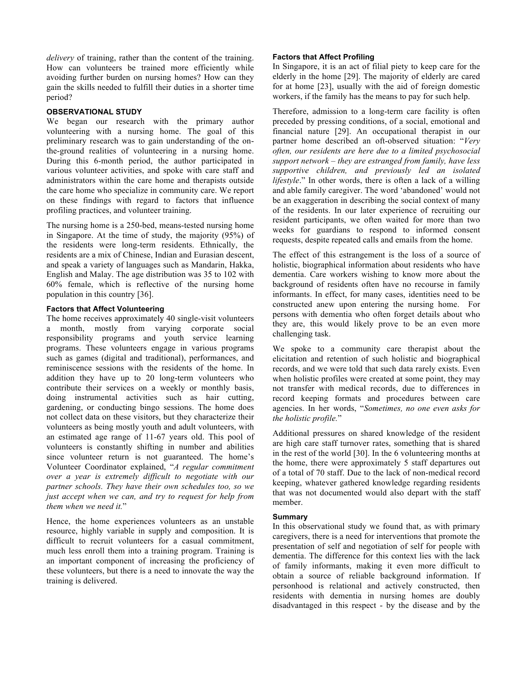*delivery* of training, rather than the content of the training. How can volunteers be trained more efficiently while avoiding further burden on nursing homes? How can they gain the skills needed to fulfill their duties in a shorter time period?

## **OBSERVATIONAL STUDY**

We began our research with the primary author volunteering with a nursing home. The goal of this preliminary research was to gain understanding of the onthe-ground realities of volunteering in a nursing home. During this 6-month period, the author participated in various volunteer activities, and spoke with care staff and administrators within the care home and therapists outside the care home who specialize in community care. We report on these findings with regard to factors that influence profiling practices, and volunteer training.

The nursing home is a 250-bed, means-tested nursing home in Singapore. At the time of study, the majority (95%) of the residents were long-term residents. Ethnically, the residents are a mix of Chinese, Indian and Eurasian descent, and speak a variety of languages such as Mandarin, Hakka, English and Malay. The age distribution was 35 to 102 with 60% female, which is reflective of the nursing home population in this country [36].

## **Factors that Affect Volunteering**

The home receives approximately 40 single-visit volunteers a month, mostly from varying corporate social responsibility programs and youth service learning programs. These volunteers engage in various programs such as games (digital and traditional), performances, and reminiscence sessions with the residents of the home. In addition they have up to 20 long-term volunteers who contribute their services on a weekly or monthly basis, doing instrumental activities such as hair cutting, gardening, or conducting bingo sessions. The home does not collect data on these visitors, but they characterize their volunteers as being mostly youth and adult volunteers, with an estimated age range of 11-67 years old. This pool of volunteers is constantly shifting in number and abilities since volunteer return is not guaranteed. The home's Volunteer Coordinator explained, "*A regular commitment over a year is extremely difficult to negotiate with our partner schools. They have their own schedules too, so we just accept when we can, and try to request for help from them when we need it.*"

Hence, the home experiences volunteers as an unstable resource, highly variable in supply and composition. It is difficult to recruit volunteers for a casual commitment, much less enroll them into a training program. Training is an important component of increasing the proficiency of these volunteers, but there is a need to innovate the way the training is delivered.

#### **Factors that Affect Profiling**

In Singapore, it is an act of filial piety to keep care for the elderly in the home [29]. The majority of elderly are cared for at home [23], usually with the aid of foreign domestic workers, if the family has the means to pay for such help.

Therefore, admission to a long-term care facility is often preceded by pressing conditions, of a social, emotional and financial nature [29]. An occupational therapist in our partner home described an oft-observed situation: "*Very often, our residents are here due to a limited psychosocial support network – they are estranged from family, have less supportive children, and previously led an isolated lifestyle*." In other words, there is often a lack of a willing and able family caregiver. The word 'abandoned' would not be an exaggeration in describing the social context of many of the residents. In our later experience of recruiting our resident participants, we often waited for more than two weeks for guardians to respond to informed consent requests, despite repeated calls and emails from the home.

The effect of this estrangement is the loss of a source of holistic, biographical information about residents who have dementia. Care workers wishing to know more about the background of residents often have no recourse in family informants. In effect, for many cases, identities need to be constructed anew upon entering the nursing home. For persons with dementia who often forget details about who they are, this would likely prove to be an even more challenging task.

We spoke to a community care therapist about the elicitation and retention of such holistic and biographical records, and we were told that such data rarely exists. Even when holistic profiles were created at some point, they may not transfer with medical records, due to differences in record keeping formats and procedures between care agencies. In her words, "*Sometimes, no one even asks for the holistic profile.*"

Additional pressures on shared knowledge of the resident are high care staff turnover rates, something that is shared in the rest of the world [30]. In the 6 volunteering months at the home, there were approximately 5 staff departures out of a total of 70 staff. Due to the lack of non-medical record keeping, whatever gathered knowledge regarding residents that was not documented would also depart with the staff member.

# **Summary**

In this observational study we found that, as with primary caregivers, there is a need for interventions that promote the presentation of self and negotiation of self for people with dementia. The difference for this context lies with the lack of family informants, making it even more difficult to obtain a source of reliable background information. If personhood is relational and actively constructed, then residents with dementia in nursing homes are doubly disadvantaged in this respect - by the disease and by the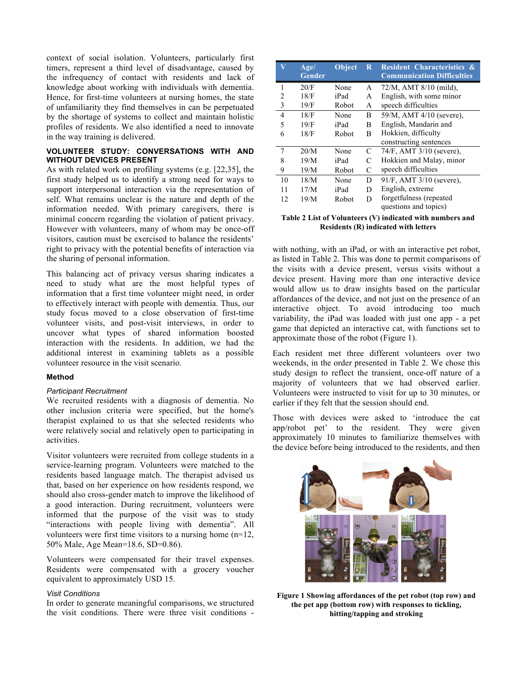context of social isolation. Volunteers, particularly first timers, represent a third level of disadvantage, caused by the infrequency of contact with residents and lack of knowledge about working with individuals with dementia. Hence, for first-time volunteers at nursing homes, the state of unfamiliarity they find themselves in can be perpetuated by the shortage of systems to collect and maintain holistic profiles of residents. We also identified a need to innovate in the way training is delivered.

# **VOLUNTEER STUDY: CONVERSATIONS WITH AND WITHOUT DEVICES PRESENT**

As with related work on profiling systems (e.g. [22,35], the first study helped us to identify a strong need for ways to support interpersonal interaction via the representation of self. What remains unclear is the nature and depth of the information needed. With primary caregivers, there is minimal concern regarding the violation of patient privacy. However with volunteers, many of whom may be once-off visitors, caution must be exercised to balance the residents' right to privacy with the potential benefits of interaction via the sharing of personal information.

This balancing act of privacy versus sharing indicates a need to study what are the most helpful types of information that a first time volunteer might need, in order to effectively interact with people with dementia. Thus, our study focus moved to a close observation of first-time volunteer visits, and post-visit interviews, in order to uncover what types of shared information boosted interaction with the residents. In addition, we had the additional interest in examining tablets as a possible volunteer resource in the visit scenario.

#### **Method**

#### *Participant Recruitment*

We recruited residents with a diagnosis of dementia. No other inclusion criteria were specified, but the home's therapist explained to us that she selected residents who were relatively social and relatively open to participating in activities.

Visitor volunteers were recruited from college students in a service-learning program. Volunteers were matched to the residents based language match. The therapist advised us that, based on her experience on how residents respond, we should also cross-gender match to improve the likelihood of a good interaction. During recruitment, volunteers were informed that the purpose of the visit was to study "interactions with people living with dementia". All volunteers were first time visitors to a nursing home (n=12, 50% Male, Age Mean=18.6, SD=0.86).

Volunteers were compensated for their travel expenses. Residents were compensated with a grocery voucher equivalent to approximately USD 15.

#### *Visit Conditions*

In order to generate meaningful comparisons, we structured the visit conditions. There were three visit conditions -

| $\bar{\mathbf{V}}$ | Age/<br><b>Gender</b> | <b>Object</b> | $\mathbf R$ | <b>Resident Characteristics &amp;</b><br><b>Communication Difficulties</b> |
|--------------------|-----------------------|---------------|-------------|----------------------------------------------------------------------------|
| 1                  | 20/F                  | None          | A           | 72/M, AMT 8/10 (mild),                                                     |
| 2                  | 18/F                  | iPad          | A           | English, with some minor                                                   |
| 3                  | 19/F                  | Robot         | A           | speech difficulties                                                        |
| $\overline{4}$     | 18/F                  | None          | B           | 59/M, AMT 4/10 (severe),                                                   |
| 5                  | 19/F                  | iPad          | B           | English, Mandarin and                                                      |
| 6                  | 18/F                  | Robot         | B           | Hokkien, difficulty                                                        |
|                    |                       |               |             | constructing sentences                                                     |
| 7                  | 20/M                  | None          | C           | 74/F, AMT 3/10 (severe).                                                   |
| 8                  | 19/M                  | iPad          | C           | Hokkien and Malay, minor                                                   |
| 9                  | 19/M                  | Robot         | C           | speech difficulties                                                        |
| 10                 | 18/M                  | None          | D           | 91/F, AMT 3/10 (severe).                                                   |
| 11                 | 17/M                  | iPad          | D           | English, extreme                                                           |
| 12                 | 19/M                  | Robot         | D           | forgetfulness (repeated)                                                   |
|                    |                       |               |             | questions and topics)                                                      |

**Table 2 List of Volunteers (V) indicated with numbers and Residents (R) indicated with letters**

with nothing, with an iPad, or with an interactive pet robot, as listed in Table 2. This was done to permit comparisons of the visits with a device present, versus visits without a device present. Having more than one interactive device would allow us to draw insights based on the particular affordances of the device, and not just on the presence of an interactive object. To avoid introducing too much variability, the iPad was loaded with just one app - a pet game that depicted an interactive cat, with functions set to approximate those of the robot (Figure 1).

Each resident met three different volunteers over two weekends, in the order presented in Table 2. We chose this study design to reflect the transient, once-off nature of a majority of volunteers that we had observed earlier. Volunteers were instructed to visit for up to 30 minutes, or earlier if they felt that the session should end.

Those with devices were asked to 'introduce the cat app/robot pet' to the resident. They were given approximately 10 minutes to familiarize themselves with the device before being introduced to the residents, and then



**Figure 1 Showing affordances of the pet robot (top row) and the pet app (bottom row) with responses to tickling, hitting/tapping and stroking**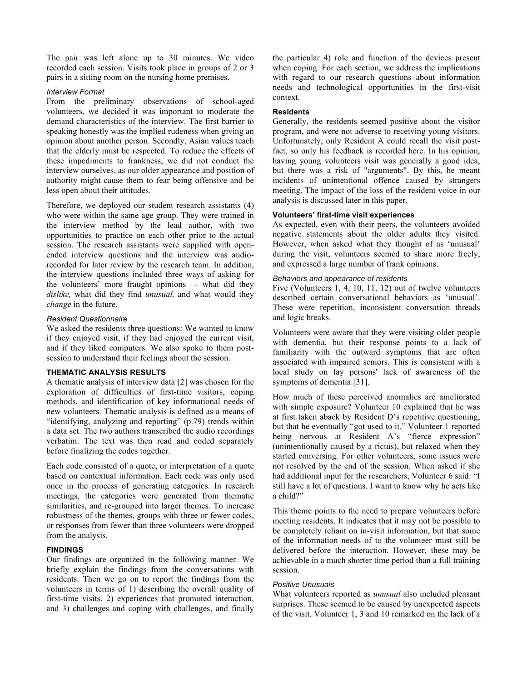The pair was left alone up to 30 minutes. We video recorded each session. Visits took place in groups of 2 or 3 pairs in a sitting room on the nursing home premises.

## *Interview Format*

From the preliminary observations of school-aged volunteers, we decided it was important to moderate the demand characteristics of the interview. The first barrier to speaking honestly was the implied rudeness when giving an opinion about another person. Secondly, Asian values teach that the elderly must be respected. To reduce the effects of these impediments to frankness, we did not conduct the interview ourselves, as our older appearance and position of authority might cause them to fear being offensive and be less open about their attitudes.

Therefore, we deployed our student research assistants (4) who were within the same age group. They were trained in the interview method by the lead author, with two opportunities to practice on each other prior to the actual session. The research assistants were supplied with openended interview questions and the interview was audiorecorded for later review by the research team. In addition, the interview questions included three ways of asking for the volunteers' more fraught opinions - what did they *dislike,* what did they find *unusual,* and what would they *change* in the future.

## *Resident Questionnaire*

We asked the residents three questions: We wanted to know if they enjoyed visit, if they had enjoyed the current visit, and if they liked computers. We also spoke to them postsession to understand their feelings about the session.

#### **THEMATIC ANALYSIS RESULTS**

A thematic analysis of interview data [2] was chosen for the exploration of difficulties of first-time visitors, coping methods, and identification of key informational needs of new volunteers. Thematic analysis is defined as a means of "identifying, analyzing and reporting" (p.79) trends within a data set. The two authors transcribed the audio recordings verbatim. The text was then read and coded separately before finalizing the codes together.

Each code consisted of a quote, or interpretation of a quote based on contextual information. Each code was only used once in the process of generating categories. In research meetings, the categories were generated from thematic similarities, and re-grouped into larger themes. To increase robustness of the themes, groups with three or fewer codes, or responses from fewer than three volunteers were dropped from the analysis.

# **FINDINGS**

Our findings are organized in the following manner. We briefly explain the findings from the conversations with residents. Then we go on to report the findings from the volunteers in terms of 1) describing the overall quality of first-time visits, 2) experiences that promoted interaction, and 3) challenges and coping with challenges, and finally

the particular 4) role and function of the devices present when coping. For each section, we address the implications with regard to our research questions about information needs and technological opportunities in the first-visit context.

## **Residents**

Generally, the residents seemed positive about the visitor program, and were not adverse to receiving young visitors. Unfortunately, only Resident A could recall the visit postfact, so only his feedback is recorded here. In his opinion, having young volunteers visit was generally a good idea, but there was a risk of "arguments". By this, he meant incidents of unintentional offence caused by strangers meeting. The impact of the loss of the resident voice in our analysis is discussed later in this paper.

## **Volunteers' first-time visit experiences**

As expected, even with their peers, the volunteers avoided negative statements about the older adults they visited. However, when asked what they thought of as 'unusual' during the visit, volunteers seemed to share more freely, and expressed a large number of frank opinions.

## *Behaviors and appearance of residents*

Five (Volunteers 1, 4, 10, 11, 12) out of twelve volunteers described certain conversational behaviors as 'unusual'. These were repetition, inconsistent conversation threads and logic breaks.

Volunteers were aware that they were visiting older people with dementia, but their response points to a lack of familiarity with the outward symptoms that are often associated with impaired seniors. This is consistent with a local study on lay persons' lack of awareness of the symptoms of dementia [31].

How much of these perceived anomalies are ameliorated with simple exposure? Volunteer 10 explained that he was at first taken aback by Resident D's repetitive questioning, but that he eventually "got used to it." Volunteer 1 reported being nervous at Resident A's "fierce expression" (unintentionally caused by a rictus), but relaxed when they started conversing. For other volunteers, some issues were not resolved by the end of the session. When asked if she had additional input for the researchers, Volunteer 6 said: "I still have a lot of questions. I want to know why he acts like a child?"

This theme points to the need to prepare volunteers before meeting residents. It indicates that it may not be possible to be completely reliant on in-visit information, but that some of the information needs of to the volunteer must still be delivered before the interaction. However, these may be achievable in a much shorter time period than a full training session.

# *Positive Unusuals*

What volunteers reported as *unusual* also included pleasant surprises. These seemed to be caused by unexpected aspects of the visit. Volunteer 1, 3 and 10 remarked on the lack of a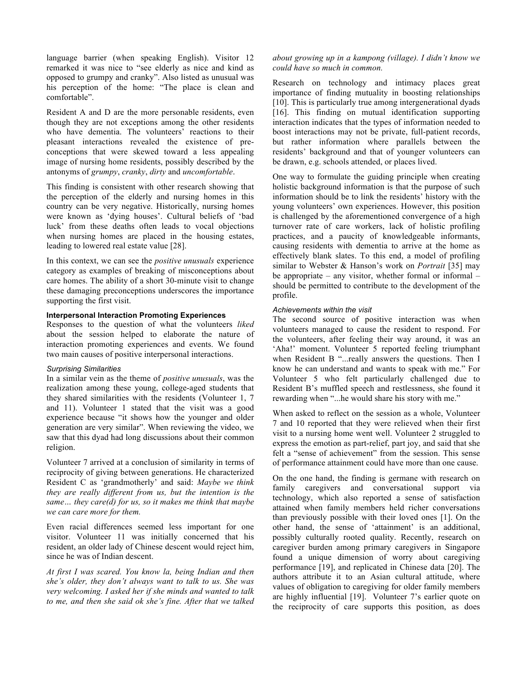language barrier (when speaking English). Visitor 12 remarked it was nice to "see elderly as nice and kind as opposed to grumpy and cranky". Also listed as unusual was his perception of the home: "The place is clean and comfortable".

Resident A and D are the more personable residents, even though they are not exceptions among the other residents who have dementia. The volunteers' reactions to their pleasant interactions revealed the existence of preconceptions that were skewed toward a less appealing image of nursing home residents, possibly described by the antonyms of *grumpy*, *cranky*, *dirty* and *uncomfortable*.

This finding is consistent with other research showing that the perception of the elderly and nursing homes in this country can be very negative. Historically, nursing homes were known as 'dying houses'. Cultural beliefs of 'bad luck' from these deaths often leads to vocal objections when nursing homes are placed in the housing estates, leading to lowered real estate value [28].

In this context, we can see the *positive unusuals* experience category as examples of breaking of misconceptions about care homes. The ability of a short 30-minute visit to change these damaging preconceptions underscores the importance supporting the first visit.

#### **Interpersonal Interaction Promoting Experiences**

Responses to the question of what the volunteers *liked* about the session helped to elaborate the nature of interaction promoting experiences and events. We found two main causes of positive interpersonal interactions.

# *Surprising Similarities*

In a similar vein as the theme of *positive unusuals*, was the realization among these young, college-aged students that they shared similarities with the residents (Volunteer 1, 7 and 11). Volunteer 1 stated that the visit was a good experience because "it shows how the younger and older generation are very similar". When reviewing the video, we saw that this dyad had long discussions about their common religion.

Volunteer 7 arrived at a conclusion of similarity in terms of reciprocity of giving between generations. He characterized Resident C as 'grandmotherly' and said: *Maybe we think they are really different from us, but the intention is the same… they care(d) for us, so it makes me think that maybe we can care more for them.*

Even racial differences seemed less important for one visitor. Volunteer 11 was initially concerned that his resident, an older lady of Chinese descent would reject him, since he was of Indian descent.

*At first I was scared. You know la, being Indian and then she's older, they don't always want to talk to us. She was very welcoming. I asked her if she minds and wanted to talk to me, and then she said ok she's fine. After that we talked* 

# *about growing up in a kampong (village). I didn't know we could have so much in common.*

Research on technology and intimacy places great importance of finding mutuality in boosting relationships [10]. This is particularly true among intergenerational dyads [16]. This finding on mutual identification supporting interaction indicates that the types of information needed to boost interactions may not be private, full-patient records, but rather information where parallels between the residents' background and that of younger volunteers can be drawn, e.g. schools attended, or places lived.

One way to formulate the guiding principle when creating holistic background information is that the purpose of such information should be to link the residents' history with the young volunteers' own experiences. However, this position is challenged by the aforementioned convergence of a high turnover rate of care workers, lack of holistic profiling practices, and a paucity of knowledgeable informants, causing residents with dementia to arrive at the home as effectively blank slates. To this end, a model of profiling similar to Webster & Hanson's work on *Portrait* [35] may be appropriate – any visitor, whether formal or informal – should be permitted to contribute to the development of the profile.

## *Achievements within the visit*

The second source of positive interaction was when volunteers managed to cause the resident to respond. For the volunteers, after feeling their way around, it was an 'Aha!' moment. Volunteer 5 reported feeling triumphant when Resident B "...really answers the questions. Then I know he can understand and wants to speak with me." For Volunteer 5 who felt particularly challenged due to Resident B's muffled speech and restlessness, she found it rewarding when "...he would share his story with me."

When asked to reflect on the session as a whole, Volunteer 7 and 10 reported that they were relieved when their first visit to a nursing home went well. Volunteer 2 struggled to express the emotion as part-relief, part joy, and said that she felt a "sense of achievement" from the session. This sense of performance attainment could have more than one cause.

On the one hand, the finding is germane with research on family caregivers and conversational support via technology, which also reported a sense of satisfaction attained when family members held richer conversations than previously possible with their loved ones [1]. On the other hand, the sense of 'attainment' is an additional, possibly culturally rooted quality. Recently, research on caregiver burden among primary caregivers in Singapore found a unique dimension of worry about caregiving performance [19], and replicated in Chinese data [20]. The authors attribute it to an Asian cultural attitude, where values of obligation to caregiving for older family members are highly influential [19]. Volunteer 7's earlier quote on the reciprocity of care supports this position, as does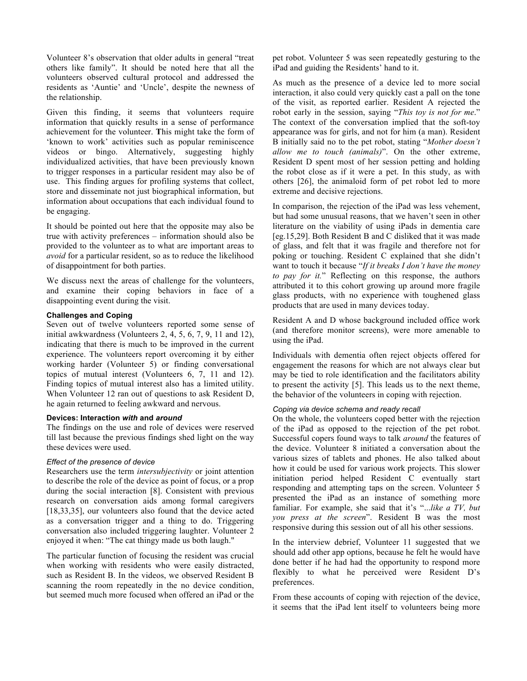Volunteer 8's observation that older adults in general "treat others like family". It should be noted here that all the volunteers observed cultural protocol and addressed the residents as 'Auntie' and 'Uncle', despite the newness of the relationship.

Given this finding, it seems that volunteers require information that quickly results in a sense of performance achievement for the volunteer. **T**his might take the form of 'known to work' activities such as popular reminiscence videos or bingo. Alternatively, suggesting highly individualized activities, that have been previously known to trigger responses in a particular resident may also be of use. This finding argues for profiling systems that collect, store and disseminate not just biographical information, but information about occupations that each individual found to be engaging.

It should be pointed out here that the opposite may also be true with activity preferences – information should also be provided to the volunteer as to what are important areas to *avoid* for a particular resident, so as to reduce the likelihood of disappointment for both parties.

We discuss next the areas of challenge for the volunteers, and examine their coping behaviors in face of a disappointing event during the visit.

## **Challenges and Coping**

Seven out of twelve volunteers reported some sense of initial awkwardness (Volunteers 2, 4, 5, 6, 7, 9, 11 and 12), indicating that there is much to be improved in the current experience. The volunteers report overcoming it by either working harder (Volunteer 5) or finding conversational topics of mutual interest (Volunteers 6, 7, 11 and 12). Finding topics of mutual interest also has a limited utility. When Volunteer 12 ran out of questions to ask Resident D, he again returned to feeling awkward and nervous.

#### **Devices: Interaction** *with* **and** *around*

The findings on the use and role of devices were reserved till last because the previous findings shed light on the way these devices were used.

#### *Effect of the presence of device*

Researchers use the term *intersubjectivity* or joint attention to describe the role of the device as point of focus, or a prop during the social interaction [8]. Consistent with previous research on conversation aids among formal caregivers [18,33,35], our volunteers also found that the device acted as a conversation trigger and a thing to do. Triggering conversation also included triggering laughter. Volunteer 2 enjoyed it when: "The cat thingy made us both laugh."

The particular function of focusing the resident was crucial when working with residents who were easily distracted, such as Resident B. In the videos, we observed Resident B scanning the room repeatedly in the no device condition, but seemed much more focused when offered an iPad or the

pet robot. Volunteer 5 was seen repeatedly gesturing to the iPad and guiding the Residents' hand to it.

As much as the presence of a device led to more social interaction, it also could very quickly cast a pall on the tone of the visit, as reported earlier. Resident A rejected the robot early in the session, saying "*This toy is not for me*." The context of the conversation implied that the soft-toy appearance was for girls, and not for him (a man). Resident B initially said no to the pet robot, stating "*Mother doesn't allow me to touch (animals)*". On the other extreme, Resident D spent most of her session petting and holding the robot close as if it were a pet. In this study, as with others [26], the animaloid form of pet robot led to more extreme and decisive rejections.

In comparison, the rejection of the iPad was less vehement, but had some unusual reasons, that we haven't seen in other literature on the viability of using iPads in dementia care [eg.15,29]. Both Resident B and C disliked that it was made of glass, and felt that it was fragile and therefore not for poking or touching. Resident C explained that she didn't want to touch it because "*If it breaks I don't have the money to pay for it.*" Reflecting on this response, the authors attributed it to this cohort growing up around more fragile glass products, with no experience with toughened glass products that are used in many devices today.

Resident A and D whose background included office work (and therefore monitor screens), were more amenable to using the iPad.

Individuals with dementia often reject objects offered for engagement the reasons for which are not always clear but may be tied to role identification and the facilitators ability to present the activity [5]. This leads us to the next theme, the behavior of the volunteers in coping with rejection.

# *Coping via device schema and ready recall*

On the whole, the volunteers coped better with the rejection of the iPad as opposed to the rejection of the pet robot. Successful copers found ways to talk *around* the features of the device. Volunteer 8 initiated a conversation about the various sizes of tablets and phones. He also talked about how it could be used for various work projects. This slower initiation period helped Resident C eventually start responding and attempting taps on the screen. Volunteer 5 presented the iPad as an instance of something more familiar. For example, she said that it's "...*like a TV, but you press at the screen*". Resident B was the most responsive during this session out of all his other sessions.

In the interview debrief, Volunteer 11 suggested that we should add other app options, because he felt he would have done better if he had had the opportunity to respond more flexibly to what he perceived were Resident D's preferences.

From these accounts of coping with rejection of the device, it seems that the iPad lent itself to volunteers being more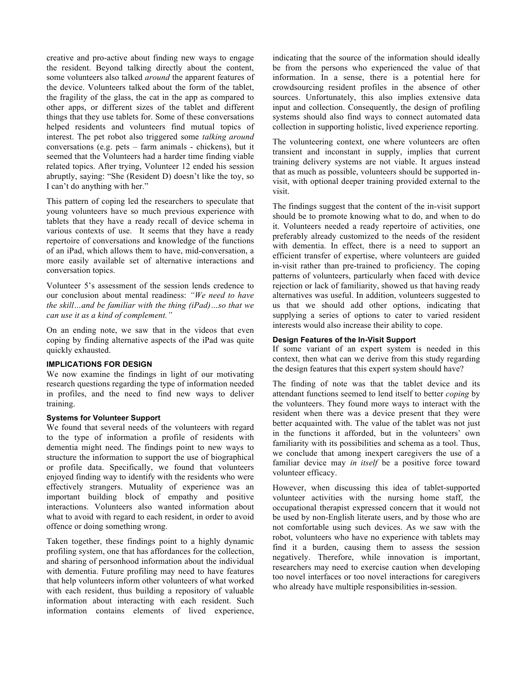creative and pro-active about finding new ways to engage the resident. Beyond talking directly about the content, some volunteers also talked *around* the apparent features of the device. Volunteers talked about the form of the tablet, the fragility of the glass, the cat in the app as compared to other apps, or different sizes of the tablet and different things that they use tablets for. Some of these conversations helped residents and volunteers find mutual topics of interest. The pet robot also triggered some *talking around*  conversations (e.g. pets – farm animals - chickens), but it seemed that the Volunteers had a harder time finding viable related topics. After trying, Volunteer 12 ended his session abruptly, saying: "She (Resident D) doesn't like the toy, so I can't do anything with her."

This pattern of coping led the researchers to speculate that young volunteers have so much previous experience with tablets that they have a ready recall of device schema in various contexts of use. It seems that they have a ready repertoire of conversations and knowledge of the functions of an iPad, which allows them to have, mid-conversation, a more easily available set of alternative interactions and conversation topics.

Volunteer 5's assessment of the session lends credence to our conclusion about mental readiness: *"We need to have the skill…and be familiar with the thing (iPad)…so that we can use it as a kind of complement."*

On an ending note, we saw that in the videos that even coping by finding alternative aspects of the iPad was quite quickly exhausted.

# **IMPLICATIONS FOR DESIGN**

We now examine the findings in light of our motivating research questions regarding the type of information needed in profiles, and the need to find new ways to deliver training.

#### **Systems for Volunteer Support**

We found that several needs of the volunteers with regard to the type of information a profile of residents with dementia might need. The findings point to new ways to structure the information to support the use of biographical or profile data. Specifically, we found that volunteers enjoyed finding way to identify with the residents who were effectively strangers. Mutuality of experience was an important building block of empathy and positive interactions. Volunteers also wanted information about what to avoid with regard to each resident, in order to avoid offence or doing something wrong.

Taken together, these findings point to a highly dynamic profiling system, one that has affordances for the collection, and sharing of personhood information about the individual with dementia. Future profiling may need to have features that help volunteers inform other volunteers of what worked with each resident, thus building a repository of valuable information about interacting with each resident. Such information contains elements of lived experience, indicating that the source of the information should ideally be from the persons who experienced the value of that information. In a sense, there is a potential here for crowdsourcing resident profiles in the absence of other sources. Unfortunately, this also implies extensive data input and collection. Consequently, the design of profiling systems should also find ways to connect automated data collection in supporting holistic, lived experience reporting.

The volunteering context, one where volunteers are often transient and inconstant in supply, implies that current training delivery systems are not viable. It argues instead that as much as possible, volunteers should be supported invisit, with optional deeper training provided external to the visit.

The findings suggest that the content of the in-visit support should be to promote knowing what to do, and when to do it. Volunteers needed a ready repertoire of activities, one preferably already customized to the needs of the resident with dementia. In effect, there is a need to support an efficient transfer of expertise, where volunteers are guided in-visit rather than pre-trained to proficiency. The coping patterns of volunteers, particularly when faced with device rejection or lack of familiarity, showed us that having ready alternatives was useful. In addition, volunteers suggested to us that we should add other options, indicating that supplying a series of options to cater to varied resident interests would also increase their ability to cope.

#### **Design Features of the In-Visit Support**

If some variant of an expert system is needed in this context, then what can we derive from this study regarding the design features that this expert system should have?

The finding of note was that the tablet device and its attendant functions seemed to lend itself to better *coping* by the volunteers. They found more ways to interact with the resident when there was a device present that they were better acquainted with. The value of the tablet was not just in the functions it afforded, but in the volunteers' own familiarity with its possibilities and schema as a tool. Thus, we conclude that among inexpert caregivers the use of a familiar device may *in itself* be a positive force toward volunteer efficacy.

However, when discussing this idea of tablet-supported volunteer activities with the nursing home staff, the occupational therapist expressed concern that it would not be used by non-English literate users, and by those who are not comfortable using such devices. As we saw with the robot, volunteers who have no experience with tablets may find it a burden, causing them to assess the session negatively. Therefore, while innovation is important, researchers may need to exercise caution when developing too novel interfaces or too novel interactions for caregivers who already have multiple responsibilities in-session.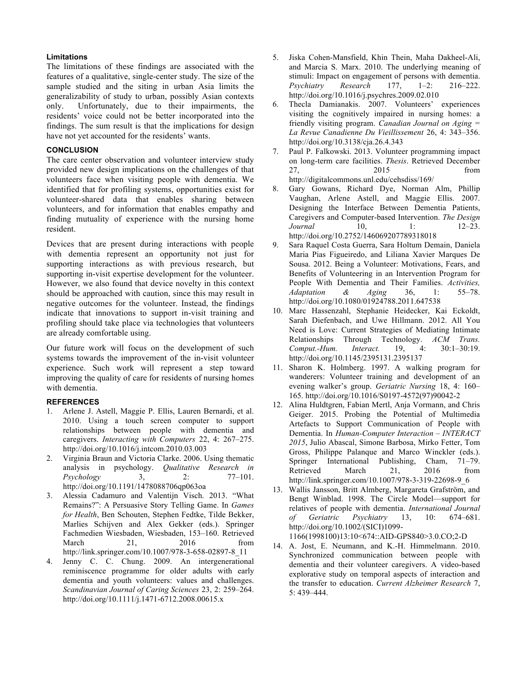# **Limitations**

The limitations of these findings are associated with the features of a qualitative, single-center study. The size of the sample studied and the siting in urban Asia limits the generalizability of study to urban, possibly Asian contexts only. Unfortunately, due to their impairments, the residents' voice could not be better incorporated into the findings. The sum result is that the implications for design have not yet accounted for the residents' wants.

## **CONCLUSION**

The care center observation and volunteer interview study provided new design implications on the challenges of that volunteers face when visiting people with dementia. We identified that for profiling systems, opportunities exist for volunteer-shared data that enables sharing between volunteers, and for information that enables empathy and finding mutuality of experience with the nursing home resident.

Devices that are present during interactions with people with dementia represent an opportunity not just for supporting interactions as with previous research, but supporting in-visit expertise development for the volunteer. However, we also found that device novelty in this context should be approached with caution, since this may result in negative outcomes for the volunteer. Instead, the findings indicate that innovations to support in-visit training and profiling should take place via technologies that volunteers are already comfortable using.

Our future work will focus on the development of such systems towards the improvement of the in-visit volunteer experience. Such work will represent a step toward improving the quality of care for residents of nursing homes with dementia.

# **REFERENCES**

- 1. Arlene J. Astell, Maggie P. Ellis, Lauren Bernardi, et al. 2010. Using a touch screen computer to support relationships between people with dementia and caregivers. *Interacting with Computers* 22, 4: 267–275. http://doi.org/10.1016/j.intcom.2010.03.003
- 2. Virginia Braun and Victoria Clarke. 2006. Using thematic analysis in psychology. *Qualitative Research in Psychology* 3, 2: 77–101. http://doi.org/10.1191/1478088706qp063oa
- 3. Alessia Cadamuro and Valentijn Visch. 2013. "What Remains?": A Persuasive Story Telling Game. In *Games for Health*, Ben Schouten, Stephen Fedtke, Tilde Bekker, Marlies Schijven and Alex Gekker (eds.). Springer Fachmedien Wiesbaden, Wiesbaden, 153–160. Retrieved March 21, 2016 from http://link.springer.com/10.1007/978-3-658-02897-8\_11
- 4. Jenny C. C. Chung. 2009. An intergenerational reminiscence programme for older adults with early dementia and youth volunteers: values and challenges. *Scandinavian Journal of Caring Sciences* 23, 2: 259–264. http://doi.org/10.1111/j.1471-6712.2008.00615.x
- 5. Jiska Cohen-Mansfield, Khin Thein, Maha Dakheel-Ali, and Marcia S. Marx. 2010. The underlying meaning of stimuli: Impact on engagement of persons with dementia. *Psychiatry Research* 177, 1–2: 216–222. http://doi.org/10.1016/j.psychres.2009.02.010
- 6. Thecla Damianakis. 2007. Volunteers' experiences visiting the cognitively impaired in nursing homes: a friendly visiting program. *Canadian Journal on Aging = La Revue Canadienne Du Vieillissement* 26, 4: 343–356. http://doi.org/10.3138/cja.26.4.343
- 7. Paul P. Falkowski. 2013. Volunteer programming impact on long-term care facilities. *Thesis*. Retrieved December 27, 2015 from http://digitalcommons.unl.edu/cehsdiss/169/
- 8. Gary Gowans, Richard Dye, Norman Alm, Phillip Vaughan, Arlene Astell, and Maggie Ellis. 2007. Designing the Interface Between Dementia Patients, Caregivers and Computer-based Intervention. *The Design Journal* 10, 1: 12–23. http://doi.org/10.2752/146069207789318018
- 9. Sara Raquel Costa Guerra, Sara Holtum Demain, Daniela Maria Pias Figueiredo, and Liliana Xavier Marques De Sousa. 2012. Being a Volunteer: Motivations, Fears, and Benefits of Volunteering in an Intervention Program for People With Dementia and Their Families. *Activities, Adaptation & Aging* 36, 1: 55–78. http://doi.org/10.1080/01924788.2011.647538
- 10. Marc Hassenzahl, Stephanie Heidecker, Kai Eckoldt, Sarah Diefenbach, and Uwe Hillmann. 2012. All You Need is Love: Current Strategies of Mediating Intimate Relationships Through Technology. *ACM Trans. Comput.-Hum. Interact.* 19, 4: 30:1–30:19. http://doi.org/10.1145/2395131.2395137
- 11. Sharon K. Holmberg. 1997. A walking program for wanderers: Volunteer training and development of an evening walker's group. *Geriatric Nursing* 18, 4: 160– 165. http://doi.org/10.1016/S0197-4572(97)90042-2
- 12. Alina Huldtgren, Fabian Mertl, Anja Vormann, and Chris Geiger. 2015. Probing the Potential of Multimedia Artefacts to Support Communication of People with Dementia. In *Human-Computer Interaction – INTERACT 2015*, Julio Abascal, Simone Barbosa, Mirko Fetter, Tom Gross, Philippe Palanque and Marco Winckler (eds.). Springer International Publishing, Cham, 71–79. Retrieved March 21, 2016 from http://link.springer.com/10.1007/978-3-319-22698-9\_6
- 13. Wallis Jansson, Britt Almberg, Margareta Grafström, and Bengt Winblad. 1998. The Circle Model—support for relatives of people with dementia. *International Journal of Geriatric Psychiatry* 13, 10: 674–681. http://doi.org/10.1002/(SICI)1099-

1166(1998100)13:10<674::AID-GPS840>3.0.CO;2-D

14. A. Jost, E. Neumann, and K.-H. Himmelmann. 2010. Synchronized communication between people with dementia and their volunteer caregivers. A video-based explorative study on temporal aspects of interaction and the transfer to education. *Current Alzheimer Research* 7, 5: 439–444.